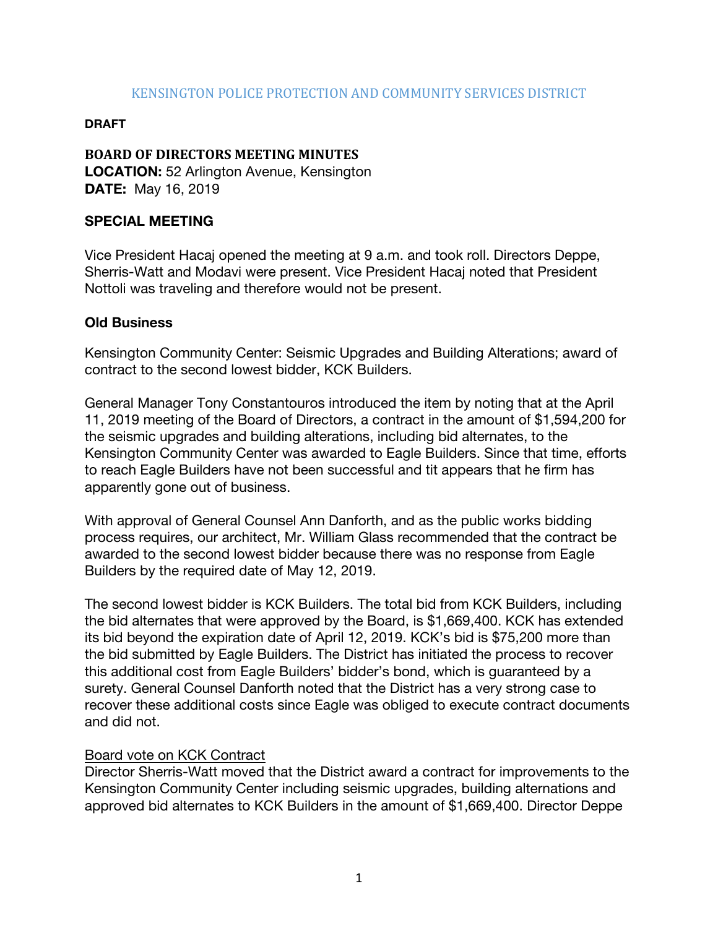### KENSINGTON POLICE PROTECTION AND COMMUNITY SERVICES DISTRICT

#### **DRAFT**

# **BOARD OF DIRECTORS MEETING MINUTES**

**LOCATION:** 52 Arlington Avenue, Kensington **DATE:** May 16, 2019

# **SPECIAL MEETING**

Vice President Hacaj opened the meeting at 9 a.m. and took roll. Directors Deppe, Sherris-Watt and Modavi were present. Vice President Hacaj noted that President Nottoli was traveling and therefore would not be present.

## **Old Business**

Kensington Community Center: Seismic Upgrades and Building Alterations; award of contract to the second lowest bidder, KCK Builders.

General Manager Tony Constantouros introduced the item by noting that at the April 11, 2019 meeting of the Board of Directors, a contract in the amount of \$1,594,200 for the seismic upgrades and building alterations, including bid alternates, to the Kensington Community Center was awarded to Eagle Builders. Since that time, efforts to reach Eagle Builders have not been successful and tit appears that he firm has apparently gone out of business.

With approval of General Counsel Ann Danforth, and as the public works bidding process requires, our architect, Mr. William Glass recommended that the contract be awarded to the second lowest bidder because there was no response from Eagle Builders by the required date of May 12, 2019.

The second lowest bidder is KCK Builders. The total bid from KCK Builders, including the bid alternates that were approved by the Board, is \$1,669,400. KCK has extended its bid beyond the expiration date of April 12, 2019. KCK's bid is \$75,200 more than the bid submitted by Eagle Builders. The District has initiated the process to recover this additional cost from Eagle Builders' bidder's bond, which is guaranteed by a surety. General Counsel Danforth noted that the District has a very strong case to recover these additional costs since Eagle was obliged to execute contract documents and did not.

#### Board vote on KCK Contract

Director Sherris-Watt moved that the District award a contract for improvements to the Kensington Community Center including seismic upgrades, building alternations and approved bid alternates to KCK Builders in the amount of \$1,669,400. Director Deppe